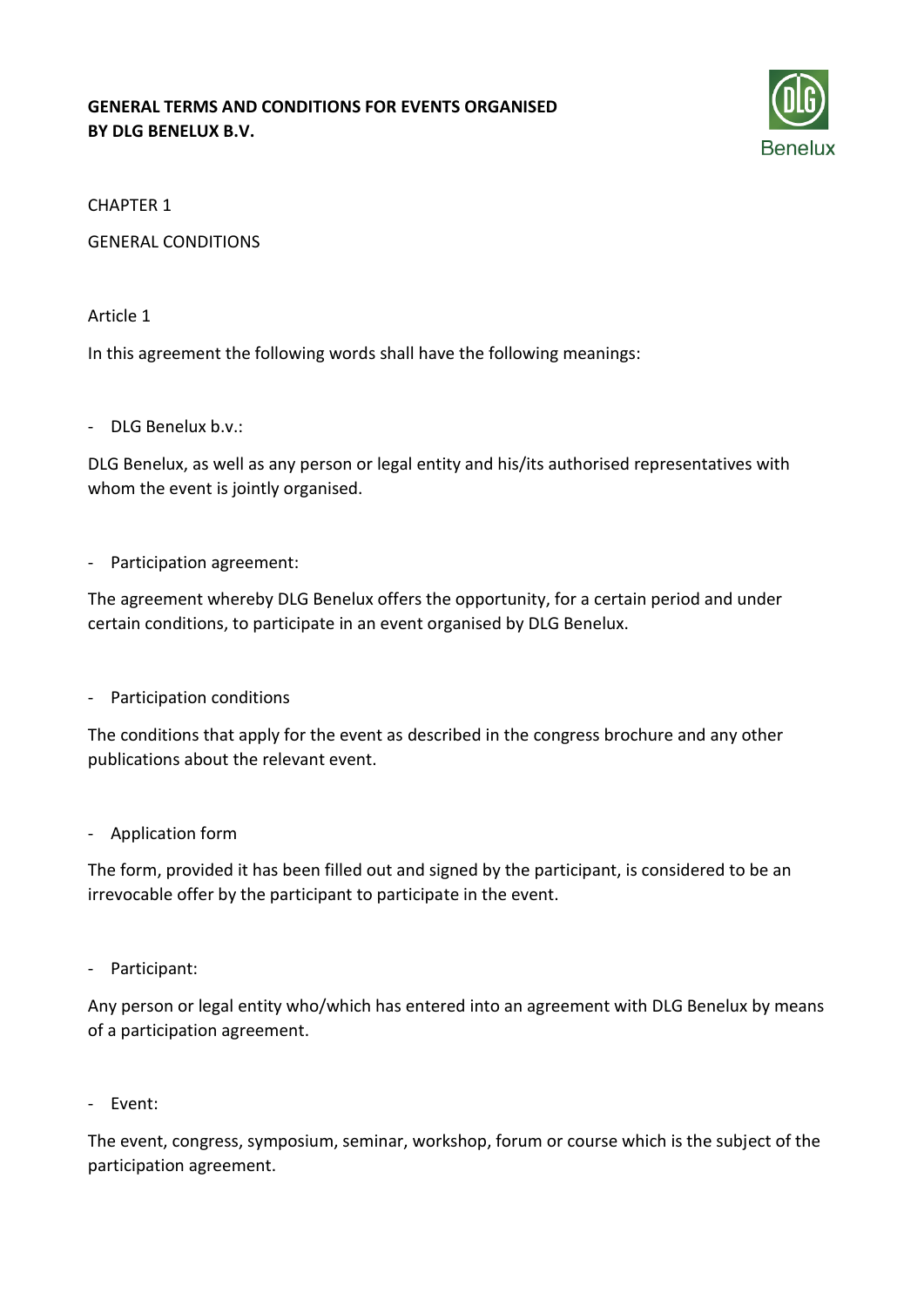## **GENERAL TERMS AND CONDITIONS FOR EVENTS ORGANISED BY DLG BENELUX B.V.**



#### CHAPTER 1

GENERAL CONDITIONS

#### Article 1

In this agreement the following words shall have the following meanings:

#### - DLG Benelux b.v.:

DLG Benelux, as well as any person or legal entity and his/its authorised representatives with whom the event is jointly organised.

#### - Participation agreement:

The agreement whereby DLG Benelux offers the opportunity, for a certain period and under certain conditions, to participate in an event organised by DLG Benelux.

- Participation conditions

The conditions that apply for the event as described in the congress brochure and any other publications about the relevant event.

#### - Application form

The form, provided it has been filled out and signed by the participant, is considered to be an irrevocable offer by the participant to participate in the event.

- Participant:

Any person or legal entity who/which has entered into an agreement with DLG Benelux by means of a participation agreement.

- Event:

The event, congress, symposium, seminar, workshop, forum or course which is the subject of the participation agreement.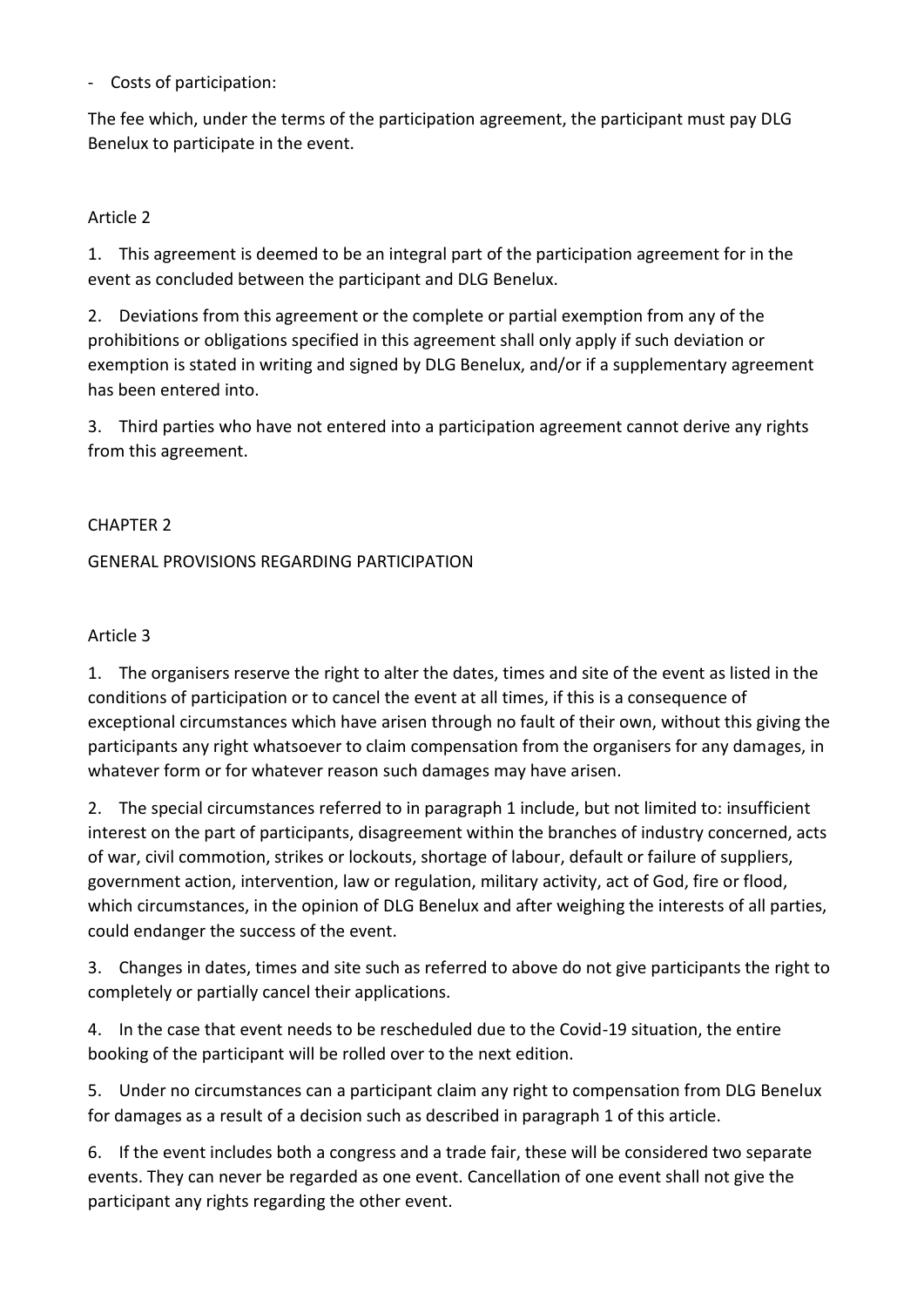- Costs of participation:

The fee which, under the terms of the participation agreement, the participant must pay DLG Benelux to participate in the event.

## Article 2

1. This agreement is deemed to be an integral part of the participation agreement for in the event as concluded between the participant and DLG Benelux.

2. Deviations from this agreement or the complete or partial exemption from any of the prohibitions or obligations specified in this agreement shall only apply if such deviation or exemption is stated in writing and signed by DLG Benelux, and/or if a supplementary agreement has been entered into.

3. Third parties who have not entered into a participation agreement cannot derive any rights from this agreement.

### CHAPTER 2

### GENERAL PROVISIONS REGARDING PARTICIPATION

### Article 3

1. The organisers reserve the right to alter the dates, times and site of the event as listed in the conditions of participation or to cancel the event at all times, if this is a consequence of exceptional circumstances which have arisen through no fault of their own, without this giving the participants any right whatsoever to claim compensation from the organisers for any damages, in whatever form or for whatever reason such damages may have arisen.

2. The special circumstances referred to in paragraph 1 include, but not limited to: insufficient interest on the part of participants, disagreement within the branches of industry concerned, acts of war, civil commotion, strikes or lockouts, shortage of labour, default or failure of suppliers, government action, intervention, law or regulation, military activity, act of God, fire or flood, which circumstances, in the opinion of DLG Benelux and after weighing the interests of all parties, could endanger the success of the event.

3. Changes in dates, times and site such as referred to above do not give participants the right to completely or partially cancel their applications.

4. In the case that event needs to be rescheduled due to the Covid-19 situation, the entire booking of the participant will be rolled over to the next edition.

5. Under no circumstances can a participant claim any right to compensation from DLG Benelux for damages as a result of a decision such as described in paragraph 1 of this article.

6. If the event includes both a congress and a trade fair, these will be considered two separate events. They can never be regarded as one event. Cancellation of one event shall not give the participant any rights regarding the other event.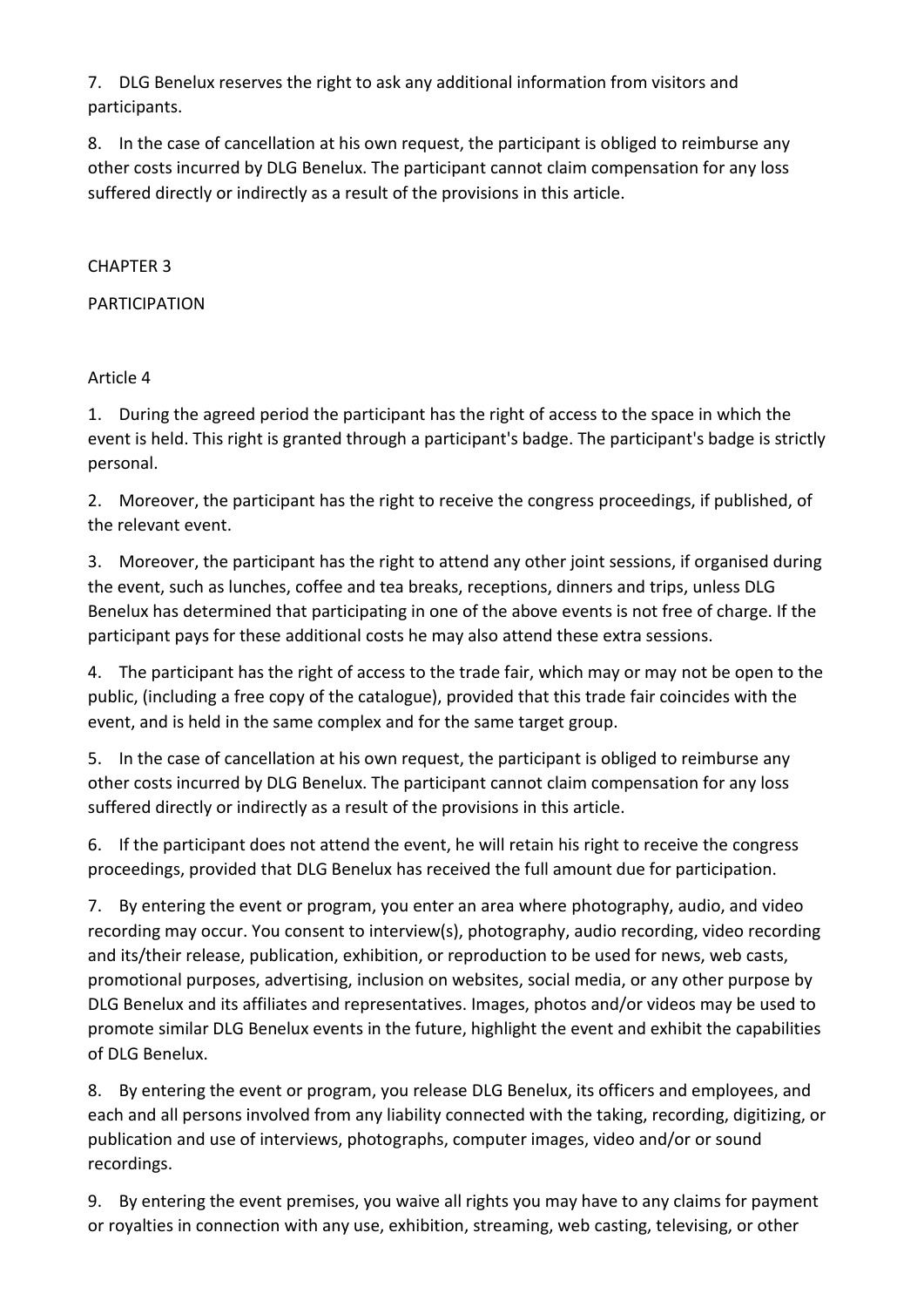7. DLG Benelux reserves the right to ask any additional information from visitors and participants.

8. In the case of cancellation at his own request, the participant is obliged to reimburse any other costs incurred by DLG Benelux. The participant cannot claim compensation for any loss suffered directly or indirectly as a result of the provisions in this article.

## CHAPTER 3

# PARTICIPATION

# Article 4

1. During the agreed period the participant has the right of access to the space in which the event is held. This right is granted through a participant's badge. The participant's badge is strictly personal.

2. Moreover, the participant has the right to receive the congress proceedings, if published, of the relevant event.

3. Moreover, the participant has the right to attend any other joint sessions, if organised during the event, such as lunches, coffee and tea breaks, receptions, dinners and trips, unless DLG Benelux has determined that participating in one of the above events is not free of charge. If the participant pays for these additional costs he may also attend these extra sessions.

4. The participant has the right of access to the trade fair, which may or may not be open to the public, (including a free copy of the catalogue), provided that this trade fair coincides with the event, and is held in the same complex and for the same target group.

5. In the case of cancellation at his own request, the participant is obliged to reimburse any other costs incurred by DLG Benelux. The participant cannot claim compensation for any loss suffered directly or indirectly as a result of the provisions in this article.

6. If the participant does not attend the event, he will retain his right to receive the congress proceedings, provided that DLG Benelux has received the full amount due for participation.

7. By entering the event or program, you enter an area where photography, audio, and video recording may occur. You consent to interview(s), photography, audio recording, video recording and its/their release, publication, exhibition, or reproduction to be used for news, web casts, promotional purposes, advertising, inclusion on websites, social media, or any other purpose by DLG Benelux and its affiliates and representatives. Images, photos and/or videos may be used to promote similar DLG Benelux events in the future, highlight the event and exhibit the capabilities of DLG Benelux.

8. By entering the event or program, you release DLG Benelux, its officers and employees, and each and all persons involved from any liability connected with the taking, recording, digitizing, or publication and use of interviews, photographs, computer images, video and/or or sound recordings.

9. By entering the event premises, you waive all rights you may have to any claims for payment or royalties in connection with any use, exhibition, streaming, web casting, televising, or other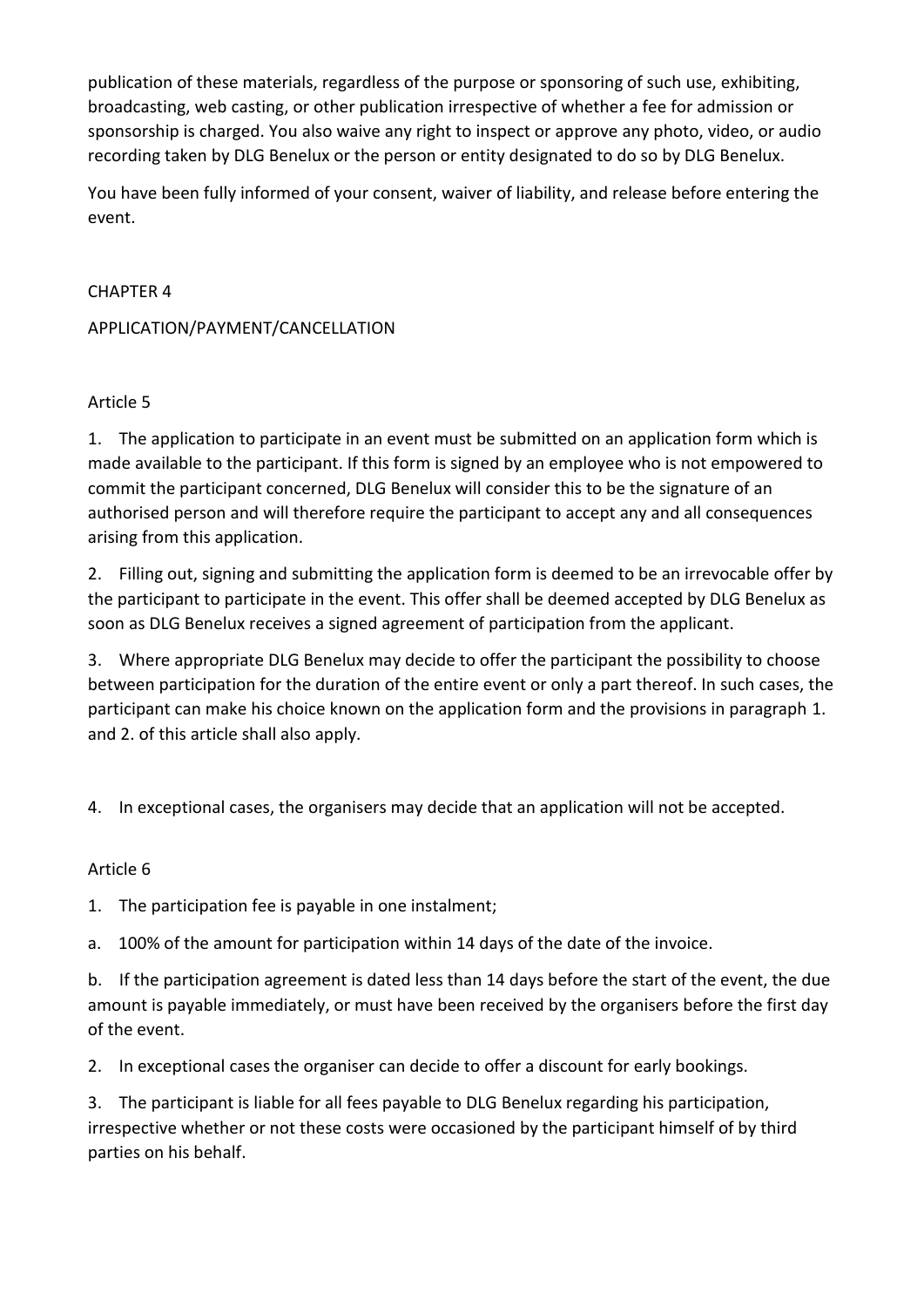publication of these materials, regardless of the purpose or sponsoring of such use, exhibiting, broadcasting, web casting, or other publication irrespective of whether a fee for admission or sponsorship is charged. You also waive any right to inspect or approve any photo, video, or audio recording taken by DLG Benelux or the person or entity designated to do so by DLG Benelux.

You have been fully informed of your consent, waiver of liability, and release before entering the event.

### CHAPTER 4

### APPLICATION/PAYMENT/CANCELLATION

### Article 5

1. The application to participate in an event must be submitted on an application form which is made available to the participant. If this form is signed by an employee who is not empowered to commit the participant concerned, DLG Benelux will consider this to be the signature of an authorised person and will therefore require the participant to accept any and all consequences arising from this application.

2. Filling out, signing and submitting the application form is deemed to be an irrevocable offer by the participant to participate in the event. This offer shall be deemed accepted by DLG Benelux as soon as DLG Benelux receives a signed agreement of participation from the applicant.

3. Where appropriate DLG Benelux may decide to offer the participant the possibility to choose between participation for the duration of the entire event or only a part thereof. In such cases, the participant can make his choice known on the application form and the provisions in paragraph 1. and 2. of this article shall also apply.

4. In exceptional cases, the organisers may decide that an application will not be accepted.

## Article 6

1. The participation fee is payable in one instalment;

a. 100% of the amount for participation within 14 days of the date of the invoice.

b. If the participation agreement is dated less than 14 days before the start of the event, the due amount is payable immediately, or must have been received by the organisers before the first day of the event.

2. In exceptional cases the organiser can decide to offer a discount for early bookings.

3. The participant is liable for all fees payable to DLG Benelux regarding his participation, irrespective whether or not these costs were occasioned by the participant himself of by third parties on his behalf.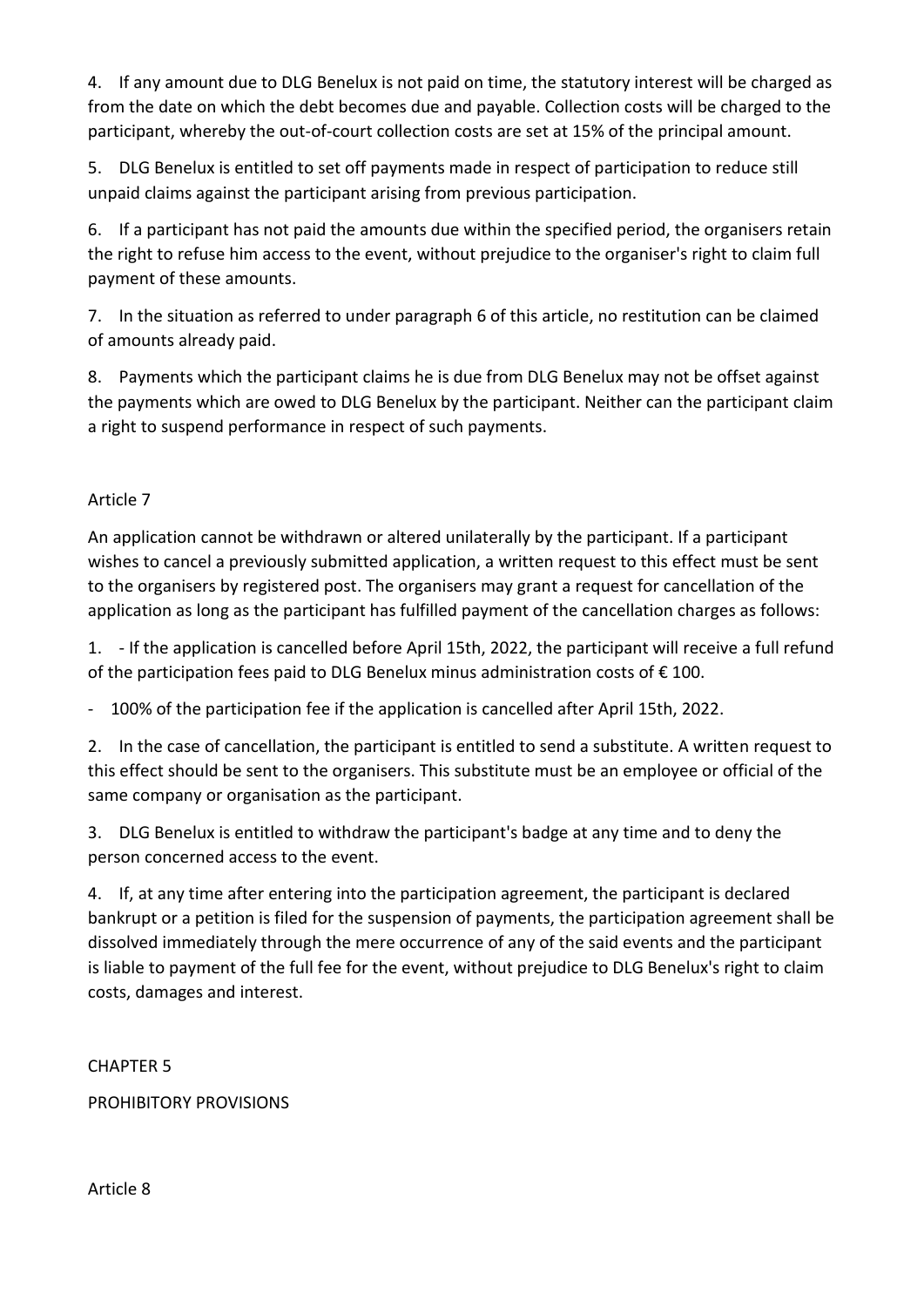4. If any amount due to DLG Benelux is not paid on time, the statutory interest will be charged as from the date on which the debt becomes due and payable. Collection costs will be charged to the participant, whereby the out-of-court collection costs are set at 15% of the principal amount.

5. DLG Benelux is entitled to set off payments made in respect of participation to reduce still unpaid claims against the participant arising from previous participation.

6. If a participant has not paid the amounts due within the specified period, the organisers retain the right to refuse him access to the event, without prejudice to the organiser's right to claim full payment of these amounts.

7. In the situation as referred to under paragraph 6 of this article, no restitution can be claimed of amounts already paid.

8. Payments which the participant claims he is due from DLG Benelux may not be offset against the payments which are owed to DLG Benelux by the participant. Neither can the participant claim a right to suspend performance in respect of such payments.

## Article 7

An application cannot be withdrawn or altered unilaterally by the participant. If a participant wishes to cancel a previously submitted application, a written request to this effect must be sent to the organisers by registered post. The organisers may grant a request for cancellation of the application as long as the participant has fulfilled payment of the cancellation charges as follows:

1. - If the application is cancelled before April 15th, 2022, the participant will receive a full refund of the participation fees paid to DLG Benelux minus administration costs of  $\epsilon$  100.

- 100% of the participation fee if the application is cancelled after April 15th, 2022.

2. In the case of cancellation, the participant is entitled to send a substitute. A written request to this effect should be sent to the organisers. This substitute must be an employee or official of the same company or organisation as the participant.

3. DLG Benelux is entitled to withdraw the participant's badge at any time and to deny the person concerned access to the event.

4. If, at any time after entering into the participation agreement, the participant is declared bankrupt or a petition is filed for the suspension of payments, the participation agreement shall be dissolved immediately through the mere occurrence of any of the said events and the participant is liable to payment of the full fee for the event, without prejudice to DLG Benelux's right to claim costs, damages and interest.

CHAPTER 5

PROHIBITORY PROVISIONS

Article 8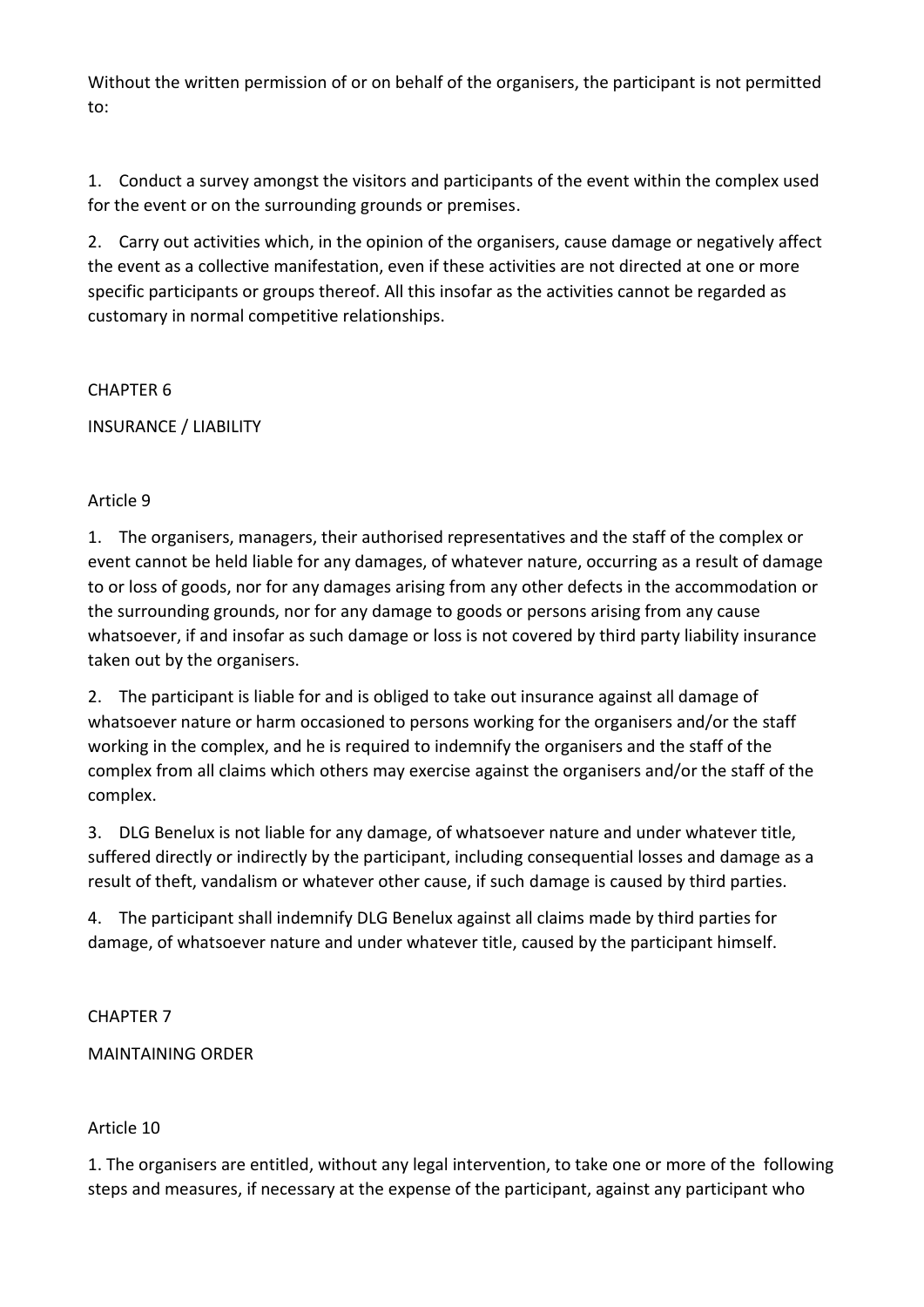Without the written permission of or on behalf of the organisers, the participant is not permitted to:

1. Conduct a survey amongst the visitors and participants of the event within the complex used for the event or on the surrounding grounds or premises.

2. Carry out activities which, in the opinion of the organisers, cause damage or negatively affect the event as a collective manifestation, even if these activities are not directed at one or more specific participants or groups thereof. All this insofar as the activities cannot be regarded as customary in normal competitive relationships.

CHAPTER 6

INSURANCE / LIABILITY

### Article 9

1. The organisers, managers, their authorised representatives and the staff of the complex or event cannot be held liable for any damages, of whatever nature, occurring as a result of damage to or loss of goods, nor for any damages arising from any other defects in the accommodation or the surrounding grounds, nor for any damage to goods or persons arising from any cause whatsoever, if and insofar as such damage or loss is not covered by third party liability insurance taken out by the organisers.

2. The participant is liable for and is obliged to take out insurance against all damage of whatsoever nature or harm occasioned to persons working for the organisers and/or the staff working in the complex, and he is required to indemnify the organisers and the staff of the complex from all claims which others may exercise against the organisers and/or the staff of the complex.

3. DLG Benelux is not liable for any damage, of whatsoever nature and under whatever title, suffered directly or indirectly by the participant, including consequential losses and damage as a result of theft, vandalism or whatever other cause, if such damage is caused by third parties.

4. The participant shall indemnify DLG Benelux against all claims made by third parties for damage, of whatsoever nature and under whatever title, caused by the participant himself.

CHAPTER 7

MAINTAINING ORDER

#### Article 10

1. The organisers are entitled, without any legal intervention, to take one or more of the following steps and measures, if necessary at the expense of the participant, against any participant who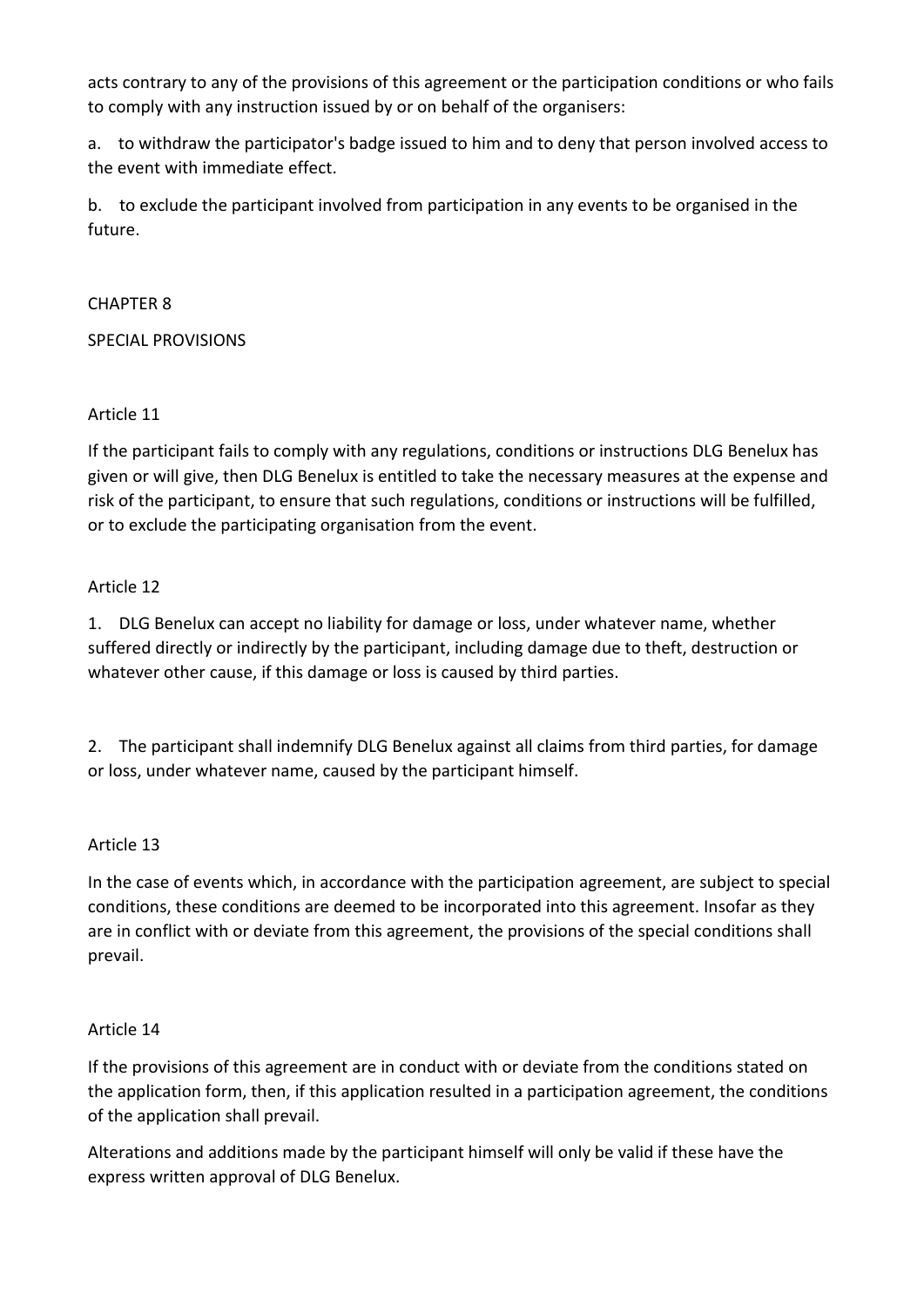acts contrary to any of the provisions of this agreement or the participation conditions or who fails to comply with any instruction issued by or on behalf of the organisers:

a. to withdraw the participator's badge issued to him and to deny that person involved access to the event with immediate effect.

b. to exclude the participant involved from participation in any events to be organised in the future.

### CHAPTER 8

SPECIAL PROVISIONS

## Article 11

If the participant fails to comply with any regulations, conditions or instructions DLG Benelux has given or will give, then DLG Benelux is entitled to take the necessary measures at the expense and risk of the participant, to ensure that such regulations, conditions or instructions will be fulfilled, or to exclude the participating organisation from the event.

### Article 12

1. DLG Benelux can accept no liability for damage or loss, under whatever name, whether suffered directly or indirectly by the participant, including damage due to theft, destruction or whatever other cause, if this damage or loss is caused by third parties.

2. The participant shall indemnify DLG Benelux against all claims from third parties, for damage or loss, under whatever name, caused by the participant himself.

## Article 13

In the case of events which, in accordance with the participation agreement, are subject to special conditions, these conditions are deemed to be incorporated into this agreement. Insofar as they are in conflict with or deviate from this agreement, the provisions of the special conditions shall prevail.

#### Article 14

If the provisions of this agreement are in conduct with or deviate from the conditions stated on the application form, then, if this application resulted in a participation agreement, the conditions of the application shall prevail.

Alterations and additions made by the participant himself will only be valid if these have the express written approval of DLG Benelux.